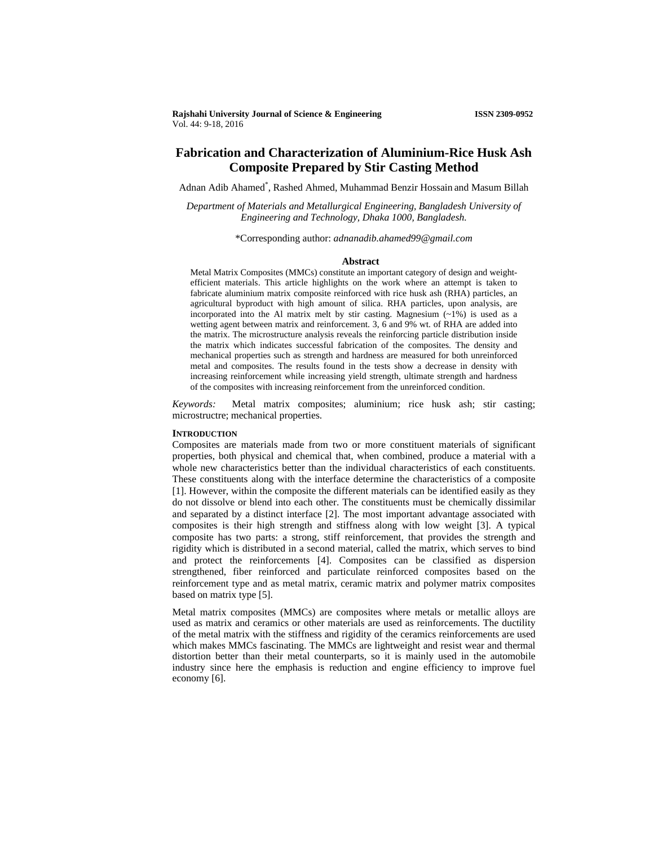**Rajshahi University Journal of Science & Engineering ISSN 2309-0952** Vol. 44: 9-18, 2016

# **Fabrication and Characterization of Aluminium-Rice Husk Ash Composite Prepared by Stir Casting Method**

Adnan Adib Ahamed\* , Rashed Ahmed, Muhammad Benzir Hossain and Masum Billah

*Department of Materials and Metallurgical Engineering, Bangladesh University of Engineering and Technology, Dhaka 1000, Bangladesh.*

\*Corresponding author: *adnanadib.ahamed99@gmail.com*

#### **Abstract**

Metal Matrix Composites (MMCs) constitute an important category of design and weightefficient materials. This article highlights on the work where an attempt is taken to fabricate aluminium matrix composite reinforced with rice husk ash (RHA) particles, an agricultural byproduct with high amount of silica. RHA particles, upon analysis, are incorporated into the Al matrix melt by stir casting. Magnesium (~1%) is used as a wetting agent between matrix and reinforcement. 3, 6 and 9% wt. of RHA are added into the matrix. The microstructure analysis reveals the reinforcing particle distribution inside the matrix which indicates successful fabrication of the composites. The density and mechanical properties such as strength and hardness are measured for both unreinforced metal and composites. The results found in the tests show a decrease in density with increasing reinforcement while increasing yield strength, ultimate strength and hardness of the composites with increasing reinforcement from the unreinforced condition.

*Keywords:* Metal matrix composites; aluminium; rice husk ash; stir casting; microstructre; mechanical properties.

## **INTRODUCTION**

Composites are materials made from two or more constituent materials of significant properties, both physical and chemical that, when combined, produce a material with a whole new characteristics better than the individual characteristics of each constituents. These constituents along with the interface determine the characteristics of a composite [1]. However, within the composite the different materials can be identified easily as they do not dissolve or blend into each other. The constituents must be chemically dissimilar and separated by a distinct interface [2]. The most important advantage associated with composites is their high strength and stiffness along with low weight [3]. A typical composite has two parts: a strong, stiff reinforcement, that provides the strength and rigidity which is distributed in a second material, called the matrix, which serves to bind and protect the reinforcements [4]. Composites can be classified as dispersion strengthened, fiber reinforced and particulate reinforced composites based on the reinforcement type and as metal matrix, ceramic matrix and polymer matrix composites based on matrix type [5].

Metal matrix composites (MMCs) are composites where metals or metallic alloys are used as matrix and ceramics or other materials are used as reinforcements. The ductility of the metal matrix with the stiffness and rigidity of the ceramics reinforcements are used which makes MMCs fascinating. The MMCs are lightweight and resist wear and thermal distortion better than their metal counterparts, so it is mainly used in the automobile industry since here the emphasis is reduction and engine efficiency to improve fuel economy [6].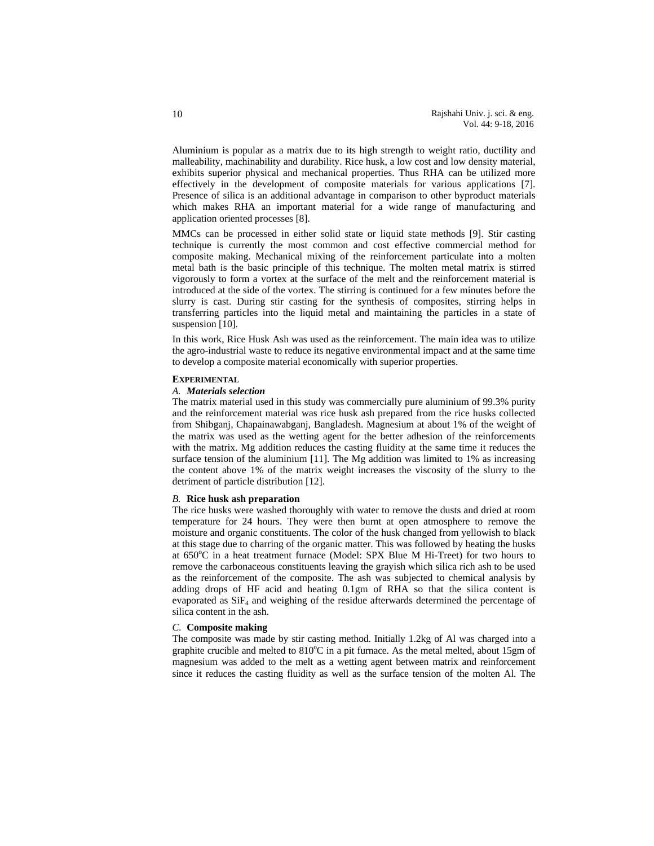Aluminium is popular as a matrix due to its high strength to weight ratio, ductility and malleability, machinability and durability. Rice husk, a low cost and low density material, exhibits superior physical and mechanical properties. Thus RHA can be utilized more effectively in the development of composite materials for various applications [7]. Presence of silica is an additional advantage in comparison to other byproduct materials which makes RHA an important material for a wide range of manufacturing and application oriented processes [8].

MMCs can be processed in either solid state or liquid state methods [9]. Stir casting technique is currently the most common and cost effective commercial method for composite making. Mechanical mixing of the reinforcement particulate into a molten metal bath is the basic principle of this technique. The molten metal matrix is stirred vigorously to form a vortex at the surface of the melt and the reinforcement material is introduced at the side of the vortex. The stirring is continued for a few minutes before the slurry is cast. During stir casting for the synthesis of composites, stirring helps in transferring particles into the liquid metal and maintaining the particles in a state of suspension [10].

In this work, Rice Husk Ash was used as the reinforcement. The main idea was to utilize the agro-industrial waste to reduce its negative environmental impact and at the same time to develop a composite material economically with superior properties.

### **EXPERIMENTAL**

### *A. Materials selection*

The matrix material used in this study was commercially pure aluminium of 99.3% purity and the reinforcement material was rice husk ash prepared from the rice husks collected from Shibganj, Chapainawabganj, Bangladesh. Magnesium at about 1% of the weight of the matrix was used as the wetting agent for the better adhesion of the reinforcements with the matrix. Mg addition reduces the casting fluidity at the same time it reduces the surface tension of the aluminium [11]. The Mg addition was limited to 1% as increasing the content above 1% of the matrix weight increases the viscosity of the slurry to the detriment of particle distribution [12].

## *B.* **Rice husk ash preparation**

The rice husks were washed thoroughly with water to remove the dusts and dried at room temperature for 24 hours. They were then burnt at open atmosphere to remove the moisture and organic constituents. The color of the husk changed from yellowish to black at this stage due to charring of the organic matter. This was followed by heating the husks at 650°C in a heat treatment furnace (Model: SPX Blue M Hi-Treet) for two hours to remove the carbonaceous constituents leaving the grayish which silica rich ash to be used as the reinforcement of the composite. The ash was subjected to chemical analysis by adding drops of HF acid and heating 0.1gm of RHA so that the silica content is evaporated as  $SiF<sub>4</sub>$  and weighing of the residue afterwards determined the percentage of silica content in the ash.

## *C.* **Composite making**

The composite was made by stir casting method. Initially 1.2kg of Al was charged into a graphite crucible and melted to 810°C in a pit furnace. As the metal melted, about 15gm of magnesium was added to the melt as a wetting agent between matrix and reinforcement since it reduces the casting fluidity as well as the surface tension of the molten Al. The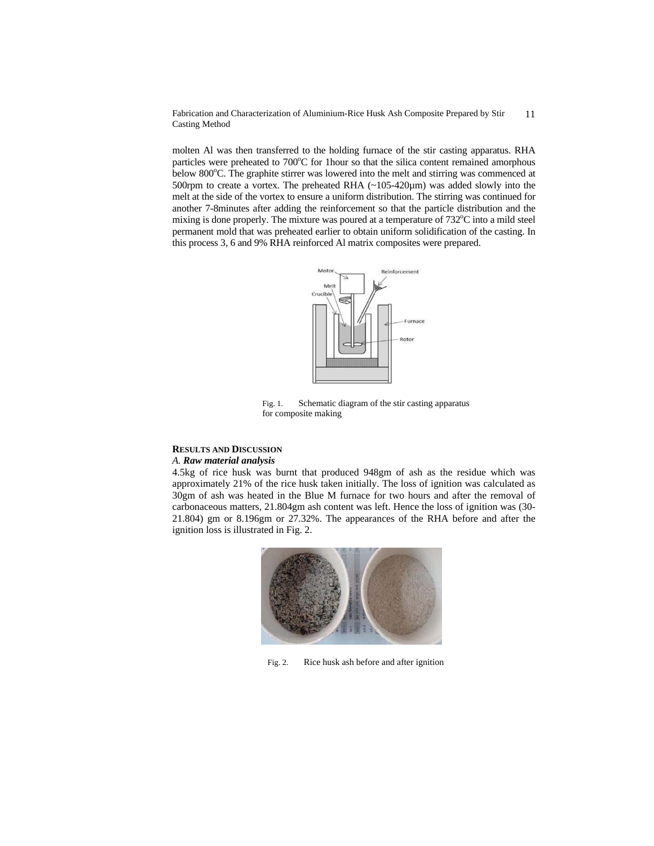molten Al was then transferred to the holding furnace of the stir casting apparatus. RHA particles were preheated to 700°C for 1hour so that the silica content remained amorphous below 800°C. The graphite stirrer was lowered into the melt and stirring was commenced at 500rpm to create a vortex. The preheated RHA  $(-105-420\mu m)$  was added slowly into the melt at the side of the vortex to ensure a uniform distribution. The stirring was continued for another 7-8minutes after adding the reinforcement so that the particle distribution and the mixing is done properly. The mixture was poured at a temperature of 732°C into a mild steel permanent mold that was preheated earlier to obtain uniform solidification of the casting. In this process 3, 6 and 9% RHA reinforced Al matrix composites were prepared.



Fig. 1. Schematic diagram of the stir casting apparatus for composite making

# **RESULTS AND DISCUSSION**

## *A. Raw material analysis*

4.5kg of rice husk was burnt that produced 948gm of ash as the residue which was approximately 21% of the rice husk taken initially. The loss of ignition was calculated as 30gm of ash was heated in the Blue M furnace for two hours and after the removal of carbonaceous matters, 21.804gm ash content was left. Hence the loss of ignition was (30- 21.804) gm or 8.196gm or 27.32%. The appearances of the RHA before and after the ignition loss is illustrated in Fig. 2.



Fig. 2. Rice husk ash before and after ignition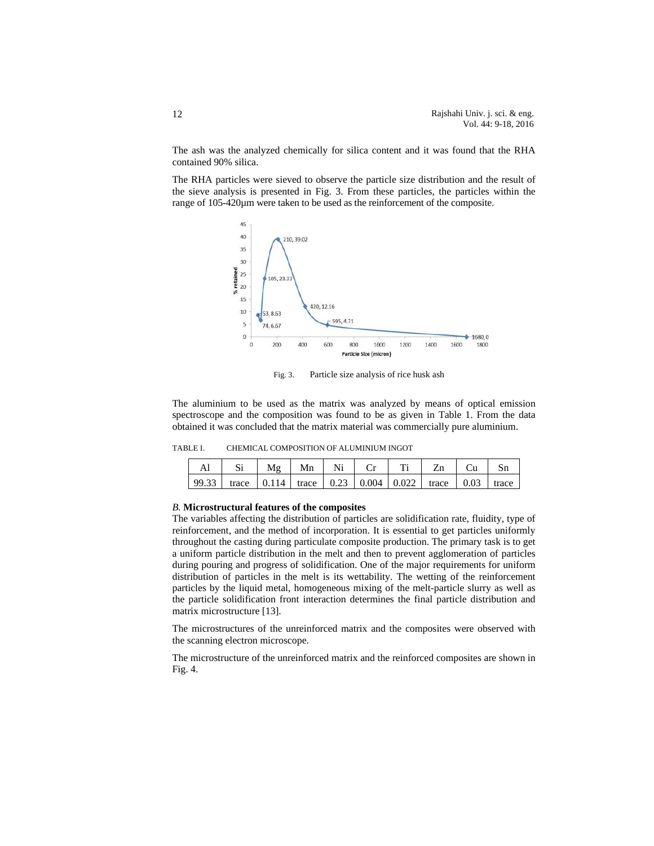The ash was the analyzed chemically for silica content and it was found that the RHA contained 90% silica.

The RHA particles were sieved to observe the particle size distribution and the result of the sieve analysis is presented in Fig. 3. From these particles, the particles within the range of 105-420µm were taken to be used as the reinforcement of the composite.



Fig. 3. Particle size analysis of rice husk ash

The aluminium to be used as the matrix was analyzed by means of optical emission spectroscope and the composition was found to be as given in Table 1. From the data obtained it was concluded that the matrix material was commercially pure aluminium.

| CHEMICAL COMPOSITION OF ALUMINIUM INGOT | TABLE I. |  |  |  |  |
|-----------------------------------------|----------|--|--|--|--|
|-----------------------------------------|----------|--|--|--|--|

|       | M₫ | Mn |  |                                                                                                                                                                                                                                                                                                                                         |       |
|-------|----|----|--|-----------------------------------------------------------------------------------------------------------------------------------------------------------------------------------------------------------------------------------------------------------------------------------------------------------------------------------------|-------|
| 99.33 |    |    |  | trace $\vert 0.114 \vert$ trace $\vert 0.23 \vert 0.004 \vert 0.022 \vert$ trace $\vert 0.03 \vert 0.03 \vert 0.004 \vert 0.002 \vert 0.003 \vert 0.003 \vert 0.004 \vert 0.003 \vert 0.004 \vert 0.003 \vert 0.004 \vert 0.004 \vert 0.004 \vert 0.004 \vert 0.004 \vert 0.004 \vert 0.004 \vert 0.004 \vert 0.004 \vert 0.004 \vert $ | trace |

### *B.* **Microstructural features of the composites**

The variables affecting the distribution of particles are solidification rate, fluidity, type of reinforcement, and the method of incorporation. It is essential to get particles uniformly throughout the casting during particulate composite production. The primary task is to get a uniform particle distribution in the melt and then to prevent agglomeration of particles during pouring and progress of solidification. One of the major requirements for uniform distribution of particles in the melt is its wettability. The wetting of the reinforcement particles by the liquid metal, homogeneous mixing of the melt-particle slurry as well as the particle solidification front interaction determines the final particle distribution and matrix microstructure [13].

The microstructures of the unreinforced matrix and the composites were observed with the scanning electron microscope.

The microstructure of the unreinforced matrix and the reinforced composites are shown in Fig. 4.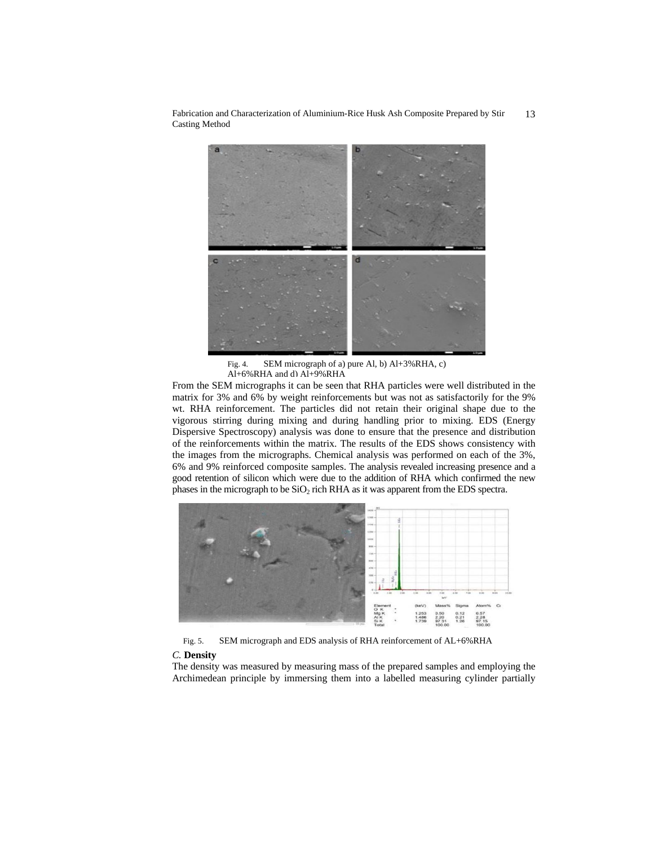

Fig. 4. SEM micrograph of a) pure Al, b) Al+3%RHA, c) Al+6%RHA and d) Al+9%RHA

From the SEM micrographs it can be seen that RHA particles were well distributed in the matrix for 3% and 6% by weight reinforcements but was not as satisfactorily for the 9% wt. RHA reinforcement. The particles did not retain their original shape due to the vigorous stirring during mixing and during handling prior to mixing. EDS (Energy Dispersive Spectroscopy) analysis was done to ensure that the presence and distribution of the reinforcements within the matrix. The results of the EDS shows consistency with the images from the micrographs. Chemical analysis was performed on each of the 3%, 6% and 9% reinforced composite samples. The analysis revealed increasing presence and a good retention of silicon which were due to the addition of RHA which confirmed the new phases in the micrograph to be  $SiO<sub>2</sub>$  rich RHA as it was apparent from the EDS spectra.



Fig. 5. SEM micrograph and EDS analysis of RHA reinforcement of AL+6%RHA

## *C.* **Density**

The density was measured by measuring mass of the prepared samples and employing the Archimedean principle by immersing them into a labelled measuring cylinder partially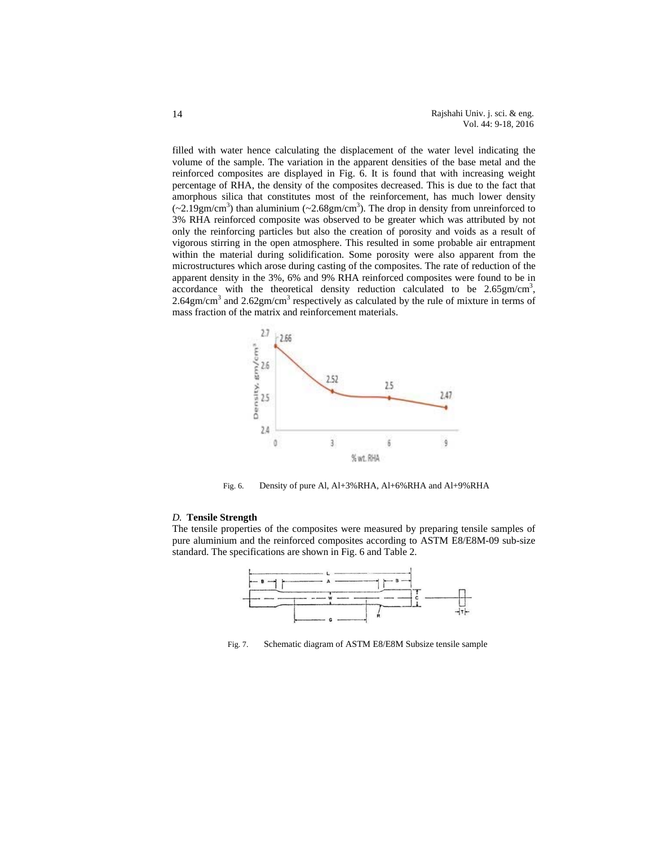filled with water hence calculating the displacement of the water level indicating the volume of the sample. The variation in the apparent densities of the base metal and the reinforced composites are displayed in Fig. 6. It is found that with increasing weight percentage of RHA, the density of the composites decreased. This is due to the fact that amorphous silica that constitutes most of the reinforcement, has much lower density  $(\sim 2.19 \text{gm/cm}^3)$  than aluminium  $(\sim 2.68 \text{gm/cm}^3)$ . The drop in density from unreinforced to 3% RHA reinforced composite was observed to be greater which was attributed by not only the reinforcing particles but also the creation of porosity and voids as a result of vigorous stirring in the open atmosphere. This resulted in some probable air entrapment within the material during solidification. Some porosity were also apparent from the microstructures which arose during casting of the composites. The rate of reduction of the apparent density in the 3%, 6% and 9% RHA reinforced composites were found to be in  $\arccos$  accordance with the theoretical density reduction calculated to be 2.65gm/cm<sup>3</sup>,  $2.64$ gm/cm<sup>3</sup> and  $2.62$ gm/cm<sup>3</sup> respectively as calculated by the rule of mixture in terms of mass fraction of the matrix and reinforcement materials.



Fig. 6. Density of pure Al, Al+3%RHA, Al+6%RHA and Al+9%RHA

## *D.* **Tensile Strength**

The tensile properties of the composites were measured by preparing tensile samples of pure aluminium and the reinforced composites according to ASTM E8/E8M-09 sub-size standard. The specifications are shown in Fig. 6 and Table 2.



Fig. 7. Schematic diagram of ASTM E8/E8M Subsize tensile sample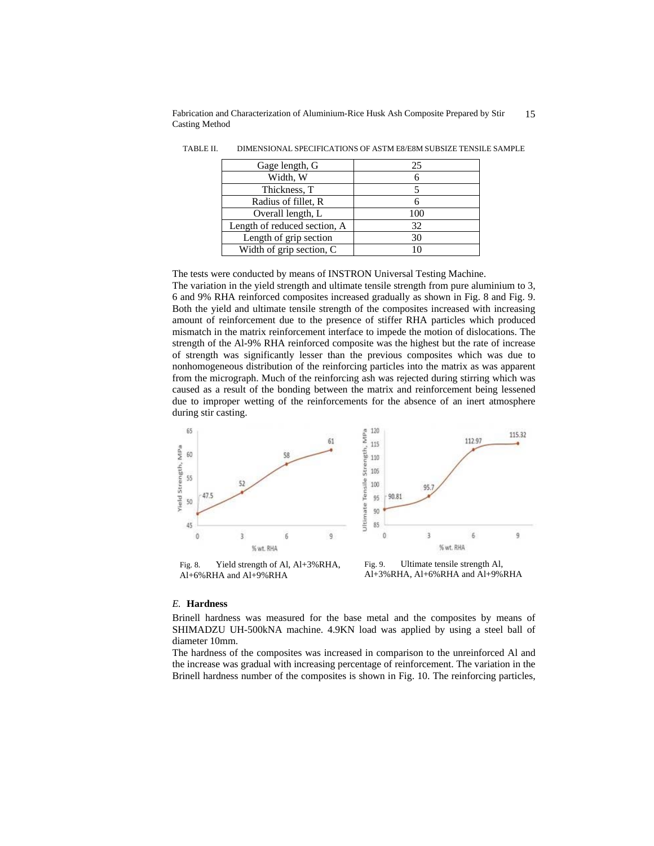| Gage length, G               | 25  |
|------------------------------|-----|
| Width, W                     |     |
| Thickness, T                 |     |
| Radius of fillet, R          |     |
| Overall length, L            | 100 |
| Length of reduced section, A | 32  |
| Length of grip section       | 30  |
| Width of grip section, C     | 10  |

TABLE II. DIMENSIONAL SPECIFICATIONS OF ASTM E8/E8M SUBSIZE TENSILE SAMPLE

The tests were conducted by means of INSTRON Universal Testing Machine.

The variation in the yield strength and ultimate tensile strength from pure aluminium to 3, 6 and 9% RHA reinforced composites increased gradually as shown in Fig. 8 and Fig. 9. Both the yield and ultimate tensile strength of the composites increased with increasing amount of reinforcement due to the presence of stiffer RHA particles which produced mismatch in the matrix reinforcement interface to impede the motion of dislocations. The strength of the Al-9% RHA reinforced composite was the highest but the rate of increase of strength was significantly lesser than the previous composites which was due to nonhomogeneous distribution of the reinforcing particles into the matrix as was apparent from the micrograph. Much of the reinforcing ash was rejected during stirring which was caused as a result of the bonding between the matrix and reinforcement being lessened due to improper wetting of the reinforcements for the absence of an inert atmosphere during stir casting.



## *E.* **Hardness**

Brinell hardness was measured for the base metal and the composites by means of SHIMADZU UH-500kNA machine. 4.9KN load was applied by using a steel ball of diameter 10mm.

The hardness of the composites was increased in comparison to the unreinforced Al and the increase was gradual with increasing percentage of reinforcement. The variation in the Brinell hardness number of the composites is shown in Fig. 10. The reinforcing particles,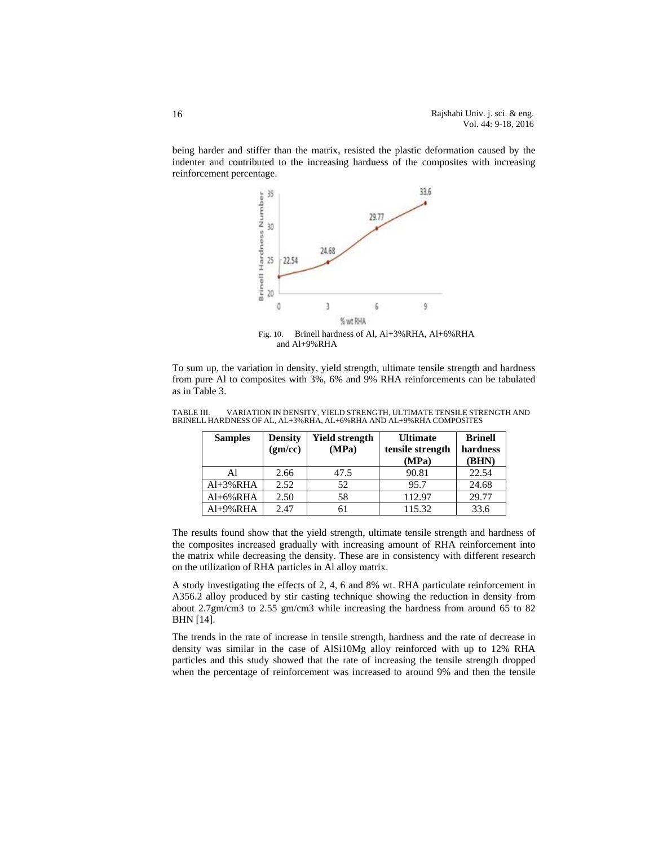being harder and stiffer than the matrix, resisted the plastic deformation caused by the indenter and contributed to the increasing hardness of the composites with increasing reinforcement percentage.



To sum up, the variation in density, yield strength, ultimate tensile strength and hardness

| To sum up, the variation in density, yield strength, ultimate tensile strength and nardness |  |
|---------------------------------------------------------------------------------------------|--|
| from pure Al to composites with 3%, 6% and 9% RHA reinforcements can be tabulated           |  |
| as in Table 3.                                                                              |  |

| TABLE III. |                                                                       |  |  | VARIATION IN DENSITY, YIELD STRENGTH, ULTIMATE TENSILE STRENGTH AND |
|------------|-----------------------------------------------------------------------|--|--|---------------------------------------------------------------------|
|            | BRINELL HARDNESS OF AL. AL+3% RHA. AL+6% RHA AND AL+9% RHA COMPOSITES |  |  |                                                                     |

| <b>Samples</b> | <b>Density</b> | <b>Yield strength</b> | <b>Ultimate</b>  | <b>Brinell</b> |
|----------------|----------------|-----------------------|------------------|----------------|
|                | (gm/cc)        | (MPa)                 | tensile strength | hardness       |
|                |                |                       | (MPa)            | (BHN)          |
| Al             | 2.66           | 47.5                  | 90.81            | 22.54          |
| $Al+3\%RHA$    | 2.52           | 52                    | 95.7             | 24.68          |
| $Al+6\%RHA$    | 2.50           | 58                    | 112.97           | 29.77          |
| Al+9%RHA       | 2.47           | 61                    | 115.32           | 33.6           |

The results found show that the yield strength, ultimate tensile strength and hardness of the composites increased gradually with increasing amount of RHA reinforcement into the matrix while decreasing the density. These are in consistency with different research on the utilization of RHA particles in Al alloy matrix.

A study investigating the effects of 2, 4, 6 and 8% wt. RHA particulate reinforcement in A356.2 alloy produced by stir casting technique showing the reduction in density from about 2.7gm/cm3 to 2.55 gm/cm3 while increasing the hardness from around 65 to 82 BHN [14].

The trends in the rate of increase in tensile strength, hardness and the rate of decrease in density was similar in the case of AlSi10Mg alloy reinforced with up to 12% RHA particles and this study showed that the rate of increasing the tensile strength dropped when the percentage of reinforcement was increased to around 9% and then the tensile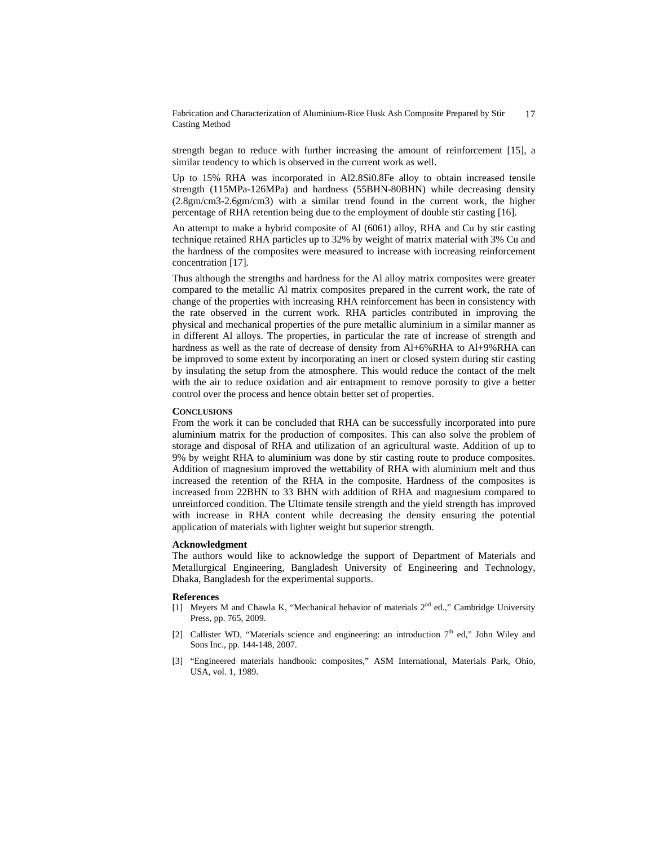strength began to reduce with further increasing the amount of reinforcement [15], a similar tendency to which is observed in the current work as well.

Up to 15% RHA was incorporated in Al2.8Si0.8Fe alloy to obtain increased tensile strength (115MPa-126MPa) and hardness (55BHN-80BHN) while decreasing density (2.8gm/cm3-2.6gm/cm3) with a similar trend found in the current work, the higher percentage of RHA retention being due to the employment of double stir casting [16].

An attempt to make a hybrid composite of Al (6061) alloy, RHA and Cu by stir casting technique retained RHA particles up to 32% by weight of matrix material with 3% Cu and the hardness of the composites were measured to increase with increasing reinforcement concentration [17].

Thus although the strengths and hardness for the Al alloy matrix composites were greater compared to the metallic Al matrix composites prepared in the current work, the rate of change of the properties with increasing RHA reinforcement has been in consistency with the rate observed in the current work. RHA particles contributed in improving the physical and mechanical properties of the pure metallic aluminium in a similar manner as in different Al alloys. The properties, in particular the rate of increase of strength and hardness as well as the rate of decrease of density from Al+6%RHA to Al+9%RHA can be improved to some extent by incorporating an inert or closed system during stir casting by insulating the setup from the atmosphere. This would reduce the contact of the melt with the air to reduce oxidation and air entrapment to remove porosity to give a better control over the process and hence obtain better set of properties.

## **CONCLUSIONS**

From the work it can be concluded that RHA can be successfully incorporated into pure aluminium matrix for the production of composites. This can also solve the problem of storage and disposal of RHA and utilization of an agricultural waste. Addition of up to 9% by weight RHA to aluminium was done by stir casting route to produce composites. Addition of magnesium improved the wettability of RHA with aluminium melt and thus increased the retention of the RHA in the composite. Hardness of the composites is increased from 22BHN to 33 BHN with addition of RHA and magnesium compared to unreinforced condition. The Ultimate tensile strength and the yield strength has improved with increase in RHA content while decreasing the density ensuring the potential application of materials with lighter weight but superior strength.

## **Acknowledgment**

The authors would like to acknowledge the support of Department of Materials and Metallurgical Engineering, Bangladesh University of Engineering and Technology, Dhaka, Bangladesh for the experimental supports.

### **References**

- [1] Meyers M and Chawla K, "Mechanical behavior of materials  $2<sup>nd</sup>$  ed.," Cambridge University Press, pp. 765, 2009.
- [2] Callister WD, "Materials science and engineering: an introduction  $7<sup>th</sup>$  ed," John Wiley and Sons Inc., pp. 144-148, 2007.
- [3] "Engineered materials handbook: composites," ASM International, Materials Park, Ohio, USA, vol. 1, 1989.